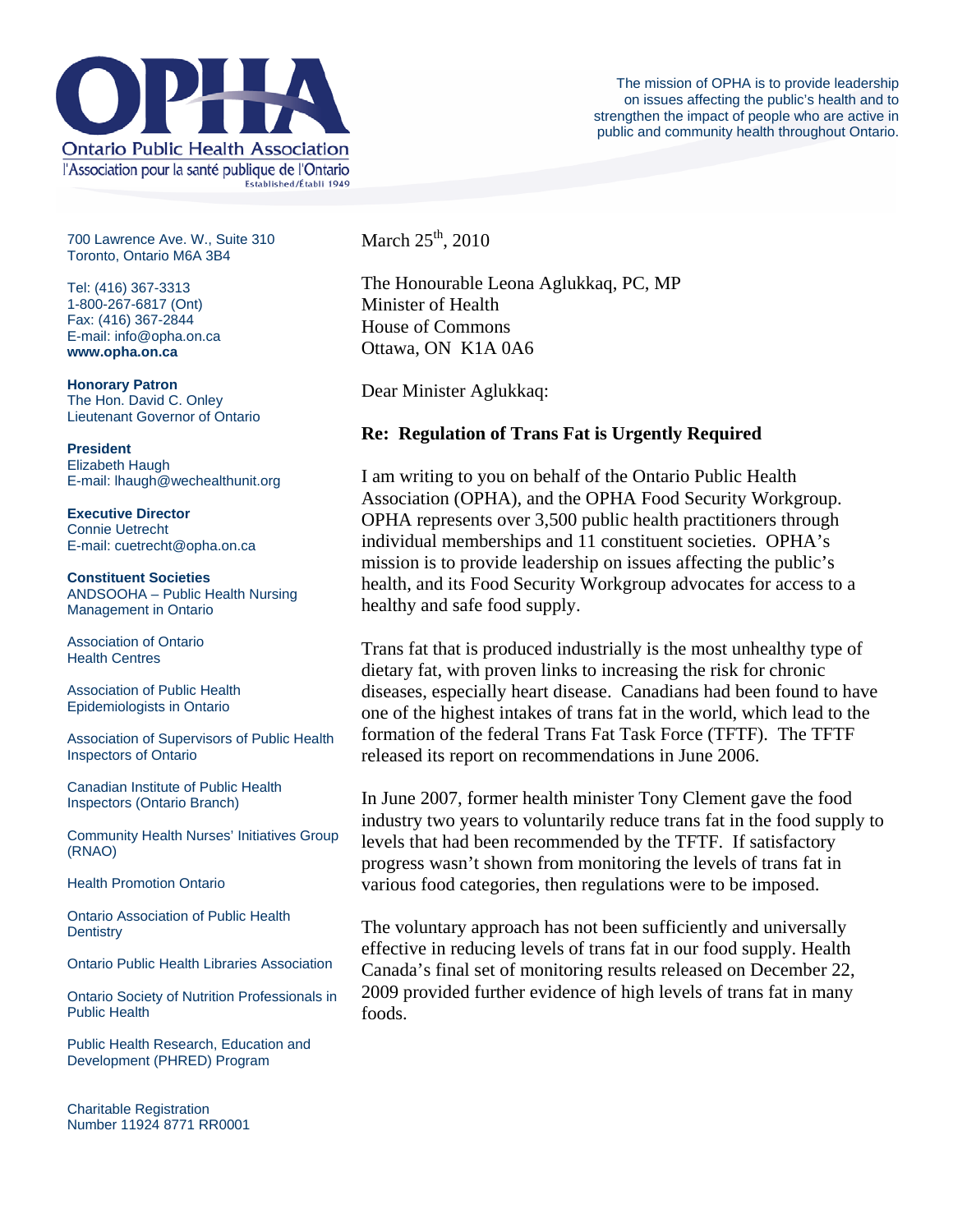

700 Lawrence Ave. W., Suite 310 Toronto, Ontario M6A 3B4

Tel: (416) 367-3313 1-800-267-6817 (Ont) Fax: (416) 367-2844 E-mail: info@opha.on.ca **www.opha.on.ca** 

**Honorary Patron**  The Hon. David C. Onley Lieutenant Governor of Ontario

**President**  Elizabeth Haugh E-mail: lhaugh@wechealthunit.org

**Executive Director**  Connie Uetrecht E-mail: cuetrecht@opha.on.ca

**Constituent Societies**  ANDSOOHA – Public Health Nursing Management in Ontario

Association of Ontario Health Centres

Association of Public Health Epidemiologists in Ontario

Association of Supervisors of Public Health Inspectors of Ontario

Canadian Institute of Public Health Inspectors (Ontario Branch)

Community Health Nurses' Initiatives Group (RNAO)

Health Promotion Ontario

Ontario Association of Public Health **Dentistry** 

Ontario Public Health Libraries Association

Ontario Society of Nutrition Professionals in Public Health

Public Health Research, Education and Development (PHRED) Program

Charitable Registration Number 11924 8771 RR0001 March  $25^{\text{th}}$ , 2010

The Honourable Leona Aglukkaq, PC, MP Minister of Health House of Commons Ottawa, ON K1A 0A6

Dear Minister Aglukkaq:

## **Re: Regulation of Trans Fat is Urgently Required**

I am writing to you on behalf of the Ontario Public Health Association (OPHA), and the OPHA Food Security Workgroup. OPHA represents over 3,500 public health practitioners through individual memberships and 11 constituent societies. OPHA's mission is to provide leadership on issues affecting the public's health, and its Food Security Workgroup advocates for access to a healthy and safe food supply.

Trans fat that is produced industrially is the most unhealthy type of dietary fat, with proven links to increasing the risk for chronic diseases, especially heart disease. Canadians had been found to have one of the highest intakes of trans fat in the world, which lead to the formation of the federal Trans Fat Task Force (TFTF). The TFTF released its report on recommendations in June 2006.

In June 2007, former health minister Tony Clement gave the food industry two years to voluntarily reduce trans fat in the food supply to levels that had been recommended by the TFTF. If satisfactory progress wasn't shown from monitoring the levels of trans fat in various food categories, then regulations were to be imposed.

The voluntary approach has not been sufficiently and universally effective in reducing levels of trans fat in our food supply. Health Canada's final set of monitoring results released on December 22, 2009 provided further evidence of high levels of trans fat in many foods.